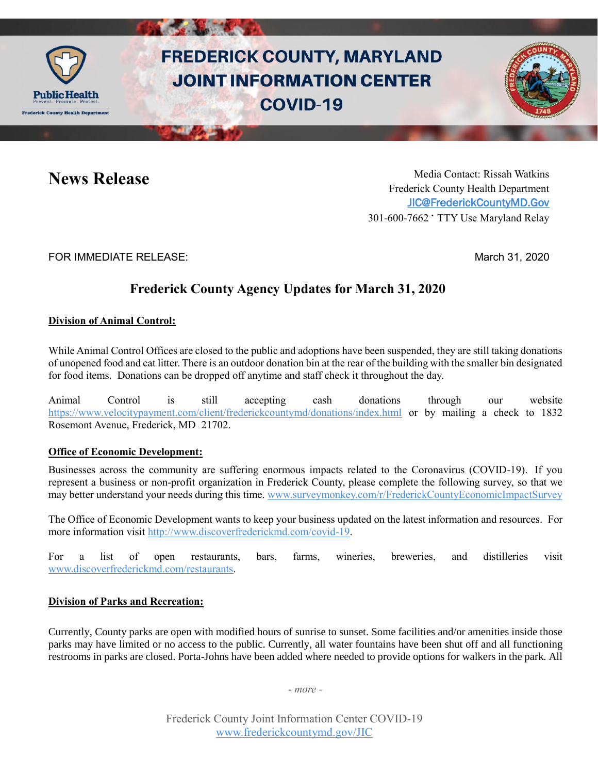

# **FREDERICK COUNTY, MARYLAND JOINT INFORMATION CENTER COVID-19**

**News Release** Media Contact: Rissah Watkins Frederick County Health Department [JIC@FrederickCountyMD.Gov](mailto:JIC@FrederickCountyMD.Gov) 301-600-7662 • TTY Use Maryland Relay

FOR IMMEDIATE RELEASE: March 31, 2020

## **Frederick County Agency Updates for March 31, 2020**

#### **Division of Animal Control:**

While Animal Control Offices are closed to the public and adoptions have been suspended, they are still taking donations of unopened food and cat litter. There is an outdoor donation bin at the rear of the building with the smaller bin designated for food items. Donations can be dropped off anytime and staff check it throughout the day.

Animal Control is still accepting cash donations through our website <https://www.velocitypayment.com/client/frederickcountymd/donations/index.html> or by mailing a check to 1832 Rosemont Avenue, Frederick, MD 21702.

#### **Office of Economic Development:**

Businesses across the community are suffering enormous impacts related to the Coronavirus (COVID-19). If you represent a business or non-profit organization in Frederick County, please complete the following survey, so that we may better understand your needs during this time. [www.surveymonkey.com/r/FrederickCountyEconomicImpactSurvey](http://www.surveymonkey.com/r/FrederickCountyEconomicImpactSurvey)

The Office of Economic Development wants to keep your business updated on the latest information and resources. For more information visit [http://www.discoverfrederickmd.com/covid-19.](http://www.discoverfrederickmd.com/covid-19)

For a list of open restaurants, bars, farms, wineries, breweries, and distilleries visit [www.discoverfrederickmd.com/restaurants.](http://www.discoverfrederickmd.com/restaurants)

### **Division of Parks and Recreation:**

Currently, County parks are open with modified hours of sunrise to sunset. Some facilities and/or amenities inside those parks may have limited or no access to the public. Currently, all water fountains have been shut off and all functioning restrooms in parks are closed. Porta-Johns have been added where needed to provide options for walkers in the park. All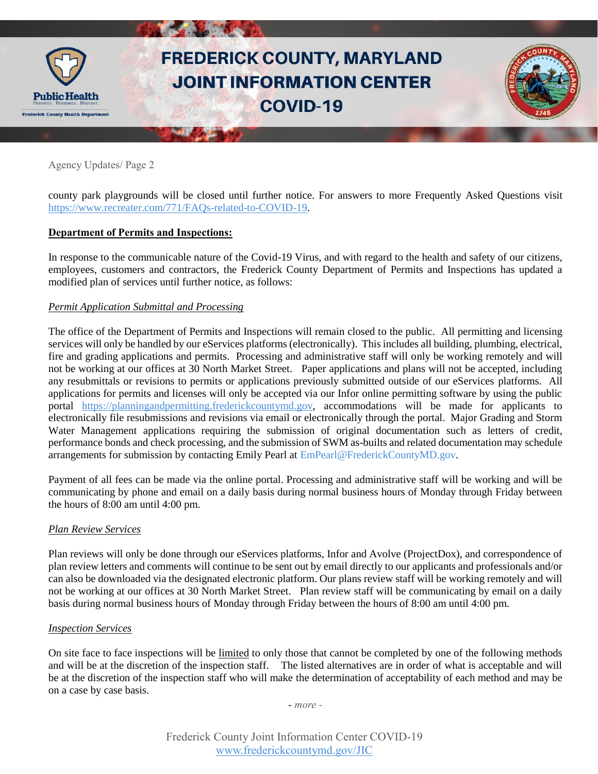

county park playgrounds will be closed until further notice. For answers to more Frequently Asked Questions visit [https://www.recreater.com/771/FAQs-related-to-COVID-19.](https://www.recreater.com/771/FAQs-related-to-COVID-19)

#### **Department of Permits and Inspections:**

In response to the communicable nature of the Covid-19 Virus, and with regard to the health and safety of our citizens, employees, customers and contractors, the Frederick County Department of Permits and Inspections has updated a modified plan of services until further notice, as follows:

#### *Permit Application Submittal and Processing*

The office of the Department of Permits and Inspections will remain closed to the public. All permitting and licensing services will only be handled by our eServices platforms (electronically). This includes all building, plumbing, electrical, fire and grading applications and permits. Processing and administrative staff will only be working remotely and will not be working at our offices at 30 North Market Street. Paper applications and plans will not be accepted, including any resubmittals or revisions to permits or applications previously submitted outside of our eServices platforms. All applications for permits and licenses will only be accepted via our Infor online permitting software by using the public portal [https://planningandpermitting.frederickcountymd.gov,](https://planningandpermitting.frederickcountymd.gov/) accommodations will be made for applicants to electronically file resubmissions and revisions via email or electronically through the portal. Major Grading and Storm Water Management applications requiring the submission of original documentation such as letters of credit, performance bonds and check processing, and the submission of SWM as-builts and related documentation may schedule arrangements for submission by contacting Emily Pearl at EmPearl@FrederickCountyMD.gov.

Payment of all fees can be made via the online portal. Processing and administrative staff will be working and will be communicating by phone and email on a daily basis during normal business hours of Monday through Friday between the hours of 8:00 am until 4:00 pm.

#### *Plan Review Services*

Plan reviews will only be done through our eServices platforms, Infor and Avolve (ProjectDox), and correspondence of plan review letters and comments will continue to be sent out by email directly to our applicants and professionals and/or can also be downloaded via the designated electronic platform. Our plans review staff will be working remotely and will not be working at our offices at 30 North Market Street. Plan review staff will be communicating by email on a daily basis during normal business hours of Monday through Friday between the hours of 8:00 am until 4:00 pm.

#### *Inspection Services*

On site face to face inspections will be limited to only those that cannot be completed by one of the following methods and will be at the discretion of the inspection staff. The listed alternatives are in order of what is acceptable and will be at the discretion of the inspection staff who will make the determination of acceptability of each method and may be on a case by case basis.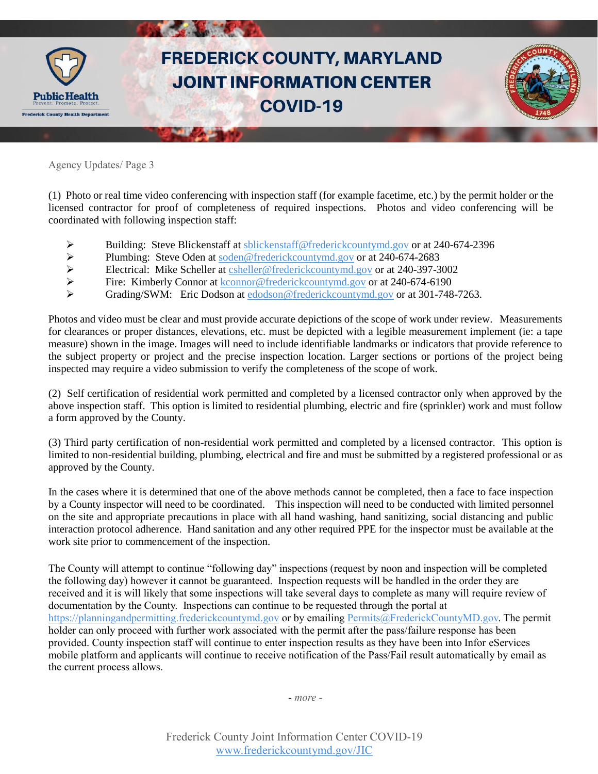

(1) Photo or real time video conferencing with inspection staff (for example facetime, etc.) by the permit holder or the licensed contractor for proof of completeness of required inspections. Photos and video conferencing will be coordinated with following inspection staff:

- Building: Steve Blickenstaff at [sblickenstaff@frederickcountymd.gov](mailto:sblickenstaff@frederickcountymd.gov) or at 240-674-2396
- Plumbing: Steve Oden at  $\frac{\text{pde}}{\text{pde}}$  or at 240-674-2683<br>
Electrical: Mike Scheller at csheller@frederickcountymd.gov or at 240-397-3
- Electrical: Mike Scheller at [csheller@frederickcountymd.gov](mailto:csheller@frederickcountymd.gov) or at 240-397-3002<br>
Fire: Kimberly Connor at kconnor@frederickcountymd.gov or at 240-674-6190
- Fire: Kimberly Connor at  $\frac{\text{kconnor} @ \text{frederic} \text{kcountymd.gov} \text{ or at } 240\text{-}674\text{-}6190}{\text{Gradiented}}$
- Grading/SWM: Eric Dodson at [edodson@frederickcountymd.gov](mailto:edodson@frederickcountymd.gov) or at 301-748-7263.

Photos and video must be clear and must provide accurate depictions of the scope of work under review. Measurements for clearances or proper distances, elevations, etc. must be depicted with a legible measurement implement (ie: a tape measure) shown in the image. Images will need to include identifiable landmarks or indicators that provide reference to the subject property or project and the precise inspection location. Larger sections or portions of the project being inspected may require a video submission to verify the completeness of the scope of work.

(2) Self certification of residential work permitted and completed by a licensed contractor only when approved by the above inspection staff. This option is limited to residential plumbing, electric and fire (sprinkler) work and must follow a form approved by the County.

(3) Third party certification of non-residential work permitted and completed by a licensed contractor. This option is limited to non-residential building, plumbing, electrical and fire and must be submitted by a registered professional or as approved by the County.

In the cases where it is determined that one of the above methods cannot be completed, then a face to face inspection by a County inspector will need to be coordinated. This inspection will need to be conducted with limited personnel on the site and appropriate precautions in place with all hand washing, hand sanitizing, social distancing and public interaction protocol adherence. Hand sanitation and any other required PPE for the inspector must be available at the work site prior to commencement of the inspection.

The County will attempt to continue "following day" inspections (request by noon and inspection will be completed the following day) however it cannot be guaranteed. Inspection requests will be handled in the order they are received and it is will likely that some inspections will take several days to complete as many will require review of documentation by the County. Inspections can continue to be requested through the portal at [https://planningandpermitting.frederickcountymd.gov](https://planningandpermitting.frederickcountymd.gov/) or by emailin[g Permits@FrederickCountyMD.gov.](mailto:Permits@FrederickCountyMD.gov) The permit holder can only proceed with further work associated with the permit after the pass/failure response has been provided. County inspection staff will continue to enter inspection results as they have been into Infor eServices mobile platform and applicants will continue to receive notification of the Pass/Fail result automatically by email as the current process allows.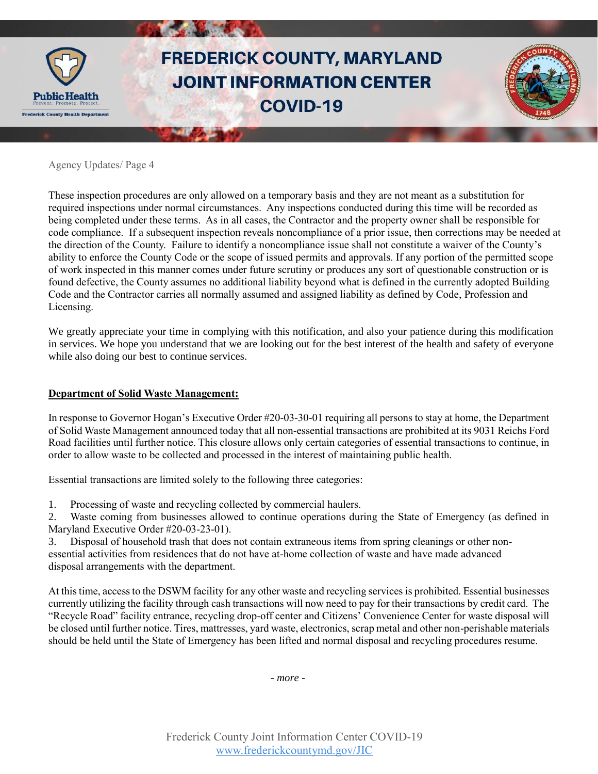

These inspection procedures are only allowed on a temporary basis and they are not meant as a substitution for required inspections under normal circumstances. Any inspections conducted during this time will be recorded as being completed under these terms. As in all cases, the Contractor and the property owner shall be responsible for code compliance. If a subsequent inspection reveals noncompliance of a prior issue, then corrections may be needed at the direction of the County. Failure to identify a noncompliance issue shall not constitute a waiver of the County's ability to enforce the County Code or the scope of issued permits and approvals. If any portion of the permitted scope of work inspected in this manner comes under future scrutiny or produces any sort of questionable construction or is found defective, the County assumes no additional liability beyond what is defined in the currently adopted Building Code and the Contractor carries all normally assumed and assigned liability as defined by Code, Profession and Licensing.

We greatly appreciate your time in complying with this notification, and also your patience during this modification in services. We hope you understand that we are looking out for the best interest of the health and safety of everyone while also doing our best to continue services.

#### **Department of Solid Waste Management:**

In response to Governor Hogan's Executive Order #20-03-30-01 requiring all persons to stay at home, the Department of Solid Waste Management announced today that all non-essential transactions are prohibited at its 9031 Reichs Ford Road facilities until further notice. This closure allows only certain categories of essential transactions to continue, in order to allow waste to be collected and processed in the interest of maintaining public health.

Essential transactions are limited solely to the following three categories:

1. Processing of waste and recycling collected by commercial haulers.

2. Waste coming from businesses allowed to continue operations during the State of Emergency (as defined in Maryland Executive Order #20-03-23-01).

3. Disposal of household trash that does not contain extraneous items from spring cleanings or other nonessential activities from residences that do not have at-home collection of waste and have made advanced disposal arrangements with the department.

At this time, access to the DSWM facility for any other waste and recycling services is prohibited. Essential businesses currently utilizing the facility through cash transactions will now need to pay for their transactions by credit card. The "Recycle Road" facility entrance, recycling drop-off center and Citizens' Convenience Center for waste disposal will be closed until further notice. Tires, mattresses, yard waste, electronics, scrap metal and other non-perishable materials should be held until the State of Emergency has been lifted and normal disposal and recycling procedures resume.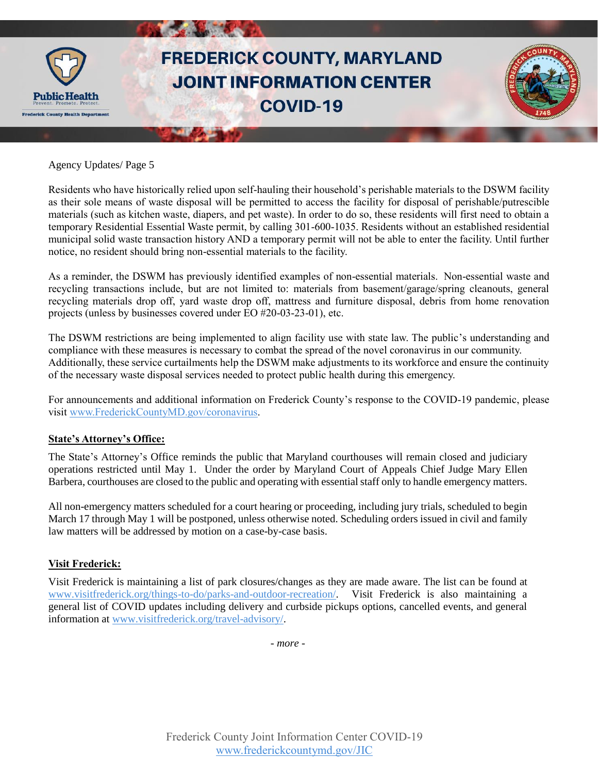

Residents who have historically relied upon self-hauling their household's perishable materials to the DSWM facility as their sole means of waste disposal will be permitted to access the facility for disposal of perishable/putrescible materials (such as kitchen waste, diapers, and pet waste). In order to do so, these residents will first need to obtain a temporary Residential Essential Waste permit, by calling 301-600-1035. Residents without an established residential municipal solid waste transaction history AND a temporary permit will not be able to enter the facility. Until further notice, no resident should bring non-essential materials to the facility.

As a reminder, the DSWM has previously identified examples of non-essential materials. Non-essential waste and recycling transactions include, but are not limited to: materials from basement/garage/spring cleanouts, general recycling materials drop off, yard waste drop off, mattress and furniture disposal, debris from home renovation projects (unless by businesses covered under EO #20-03-23-01), etc.

The DSWM restrictions are being implemented to align facility use with state law. The public's understanding and compliance with these measures is necessary to combat the spread of the novel coronavirus in our community. Additionally, these service curtailments help the DSWM make adjustments to its workforce and ensure the continuity of the necessary waste disposal services needed to protect public health during this emergency.

For announcements and additional information on Frederick County's response to the COVID-19 pandemic, please visit [www.FrederickCountyMD.gov/coronavirus.](http://www.frederickcountymd.gov/coronavirus)

#### **State's Attorney's Office:**

The State's Attorney's Office reminds the public that Maryland courthouses will remain closed and judiciary operations restricted until May 1. Under the order by Maryland Court of Appeals Chief Judge Mary Ellen Barbera, courthouses are closed to the public and operating with essential staff only to handle emergency matters.

All non-emergency matters scheduled for a court hearing or proceeding, including jury trials, scheduled to begin March 17 through May 1 will be postponed, unless otherwise noted. Scheduling orders issued in civil and family law matters will be addressed by motion on a case-by-case basis.

#### **Visit Frederick:**

Visit Frederick is maintaining a list of park closures/changes as they are made aware. The list can be found at [www.visitfrederick.org/things-to-do/parks-and-outdoor-recreation/.](https://www.visitfrederick.org/things-to-do/parks-and-outdoor-recreation/) Visit Frederick is also maintaining a general list of COVID updates including delivery and curbside pickups options, cancelled events, and general information at [www.visitfrederick.org/travel-advisory/.](https://www.visitfrederick.org/travel-advisory/)